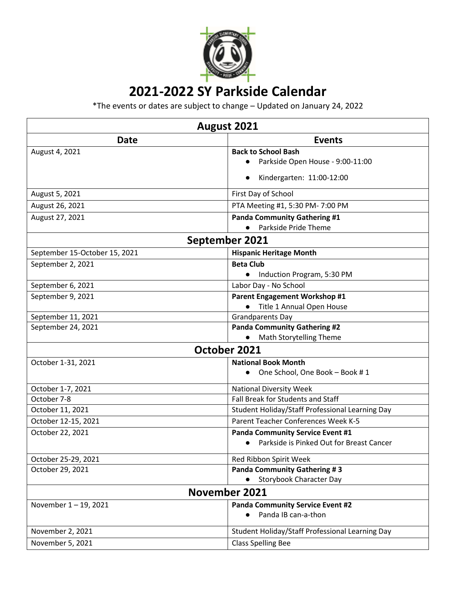

## **2021-2022 SY Parkside Calendar**

\*The events or dates are subject to change – Updated on January 24, 2022

| August 2021                   |                                                       |  |
|-------------------------------|-------------------------------------------------------|--|
| <b>Date</b>                   | <b>Events</b>                                         |  |
| August 4, 2021                | <b>Back to School Bash</b>                            |  |
|                               | Parkside Open House - 9:00-11:00                      |  |
|                               | Kindergarten: 11:00-12:00                             |  |
| August 5, 2021                | First Day of School                                   |  |
| August 26, 2021               | PTA Meeting #1, 5:30 PM- 7:00 PM                      |  |
| August 27, 2021               | <b>Panda Community Gathering #1</b>                   |  |
|                               | Parkside Pride Theme                                  |  |
| September 2021                |                                                       |  |
| September 15-October 15, 2021 | <b>Hispanic Heritage Month</b>                        |  |
| September 2, 2021             | <b>Beta Club</b>                                      |  |
|                               | Induction Program, 5:30 PM<br>$\bullet$               |  |
| September 6, 2021             | Labor Day - No School                                 |  |
| September 9, 2021             | <b>Parent Engagement Workshop #1</b>                  |  |
|                               | Title 1 Annual Open House                             |  |
| September 11, 2021            | <b>Grandparents Day</b>                               |  |
| September 24, 2021            | <b>Panda Community Gathering #2</b>                   |  |
|                               | <b>Math Storytelling Theme</b>                        |  |
| October 2021                  |                                                       |  |
| October 1-31, 2021            | <b>National Book Month</b>                            |  |
|                               | One School, One Book - Book #1                        |  |
| October 1-7, 2021             | <b>National Diversity Week</b>                        |  |
| October 7-8                   | Fall Break for Students and Staff                     |  |
| October 11, 2021              | Student Holiday/Staff Professional Learning Day       |  |
| October 12-15, 2021           | Parent Teacher Conferences Week K-5                   |  |
| October 22, 2021              | <b>Panda Community Service Event #1</b>               |  |
|                               | Parkside is Pinked Out for Breast Cancer<br>$\bullet$ |  |
| October 25-29, 2021           | Red Ribbon Spirit Week                                |  |
| October 29, 2021              | <b>Panda Community Gathering #3</b>                   |  |
|                               | <b>Storybook Character Day</b>                        |  |
| November 2021                 |                                                       |  |
| November 1-19, 2021           | <b>Panda Community Service Event #2</b>               |  |
|                               | Panda IB can-a-thon                                   |  |
| November 2, 2021              | Student Holiday/Staff Professional Learning Day       |  |
| November 5, 2021              | <b>Class Spelling Bee</b>                             |  |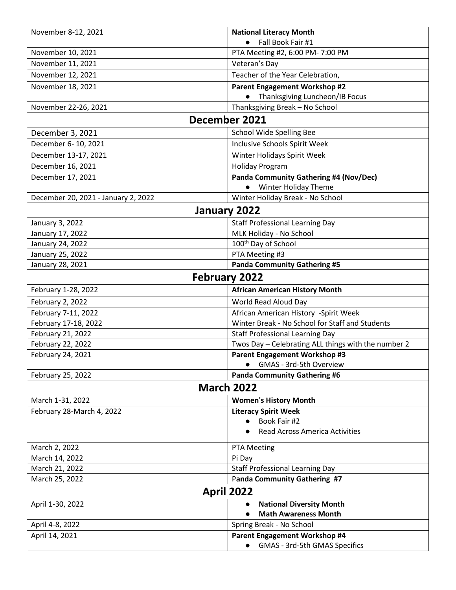| November 8-12, 2021                 | <b>National Literacy Month</b>                      |  |
|-------------------------------------|-----------------------------------------------------|--|
|                                     | Fall Book Fair #1                                   |  |
| November 10, 2021                   | PTA Meeting #2, 6:00 PM- 7:00 PM                    |  |
| November 11, 2021                   | Veteran's Day                                       |  |
| November 12, 2021                   | Teacher of the Year Celebration,                    |  |
| November 18, 2021                   | <b>Parent Engagement Workshop #2</b>                |  |
|                                     | Thanksgiving Luncheon/IB Focus                      |  |
| November 22-26, 2021                | Thanksgiving Break - No School                      |  |
| December 2021                       |                                                     |  |
| December 3, 2021                    | School Wide Spelling Bee                            |  |
| December 6-10, 2021                 | <b>Inclusive Schools Spirit Week</b>                |  |
| December 13-17, 2021                | Winter Holidays Spirit Week                         |  |
| December 16, 2021                   | <b>Holiday Program</b>                              |  |
| December 17, 2021                   | Panda Community Gathering #4 (Nov/Dec)              |  |
|                                     | Winter Holiday Theme                                |  |
| December 20, 2021 - January 2, 2022 | Winter Holiday Break - No School                    |  |
| January 2022                        |                                                     |  |
| January 3, 2022                     | <b>Staff Professional Learning Day</b>              |  |
| January 17, 2022                    | MLK Holiday - No School                             |  |
| January 24, 2022                    | 100 <sup>th</sup> Day of School                     |  |
| January 25, 2022                    | PTA Meeting #3                                      |  |
| January 28, 2021                    | <b>Panda Community Gathering #5</b>                 |  |
| <b>February 2022</b>                |                                                     |  |
| February 1-28, 2022                 | <b>African American History Month</b>               |  |
| February 2, 2022                    | World Read Aloud Day                                |  |
| February 7-11, 2022                 | African American History -Spirit Week               |  |
| February 17-18, 2022                | Winter Break - No School for Staff and Students     |  |
| February 21, 2022                   | <b>Staff Professional Learning Day</b>              |  |
| February 22, 2022                   | Twos Day - Celebrating ALL things with the number 2 |  |
| February 24, 2021                   | <b>Parent Engagement Workshop #3</b>                |  |
|                                     | GMAS - 3rd-5th Overview                             |  |
| February 25, 2022                   | <b>Panda Community Gathering #6</b>                 |  |
| <b>March 2022</b>                   |                                                     |  |
| March 1-31, 2022                    | <b>Women's History Month</b>                        |  |
| February 28-March 4, 2022           | <b>Literacy Spirit Week</b>                         |  |
|                                     | Book Fair #2<br>$\bullet$                           |  |
|                                     | <b>Read Across America Activities</b>               |  |
| March 2, 2022                       | <b>PTA Meeting</b>                                  |  |
| March 14, 2022                      | Pi Day                                              |  |
| March 21, 2022                      | <b>Staff Professional Learning Day</b>              |  |
| March 25, 2022                      | Panda Community Gathering #7                        |  |
| <b>April 2022</b>                   |                                                     |  |
| April 1-30, 2022                    | <b>National Diversity Month</b>                     |  |
|                                     | <b>Math Awareness Month</b>                         |  |
| April 4-8, 2022                     | Spring Break - No School                            |  |
| April 14, 2021                      | <b>Parent Engagement Workshop #4</b>                |  |
|                                     | GMAS - 3rd-5th GMAS Specifics                       |  |